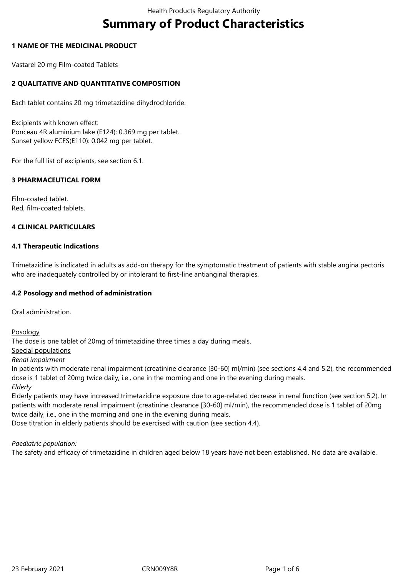# **Summary of Product Characteristics**

## **1 NAME OF THE MEDICINAL PRODUCT**

Vastarel 20 mg Film-coated Tablets

# **2 QUALITATIVE AND QUANTITATIVE COMPOSITION**

Each tablet contains 20 mg trimetazidine dihydrochloride.

Excipients with known effect: Ponceau 4R aluminium lake (E124): 0.369 mg per tablet. Sunset yellow FCFS(E110): 0.042 mg per tablet.

For the full list of excipients, see section 6.1.

## **3 PHARMACEUTICAL FORM**

Film-coated tablet. Red, film-coated tablets.

## **4 CLINICAL PARTICULARS**

## **4.1 Therapeutic Indications**

Trimetazidine is indicated in adults as add-on therapy for the symptomatic treatment of patients with stable angina pectoris who are inadequately controlled by or intolerant to first-line antianginal therapies.

## **4.2 Posology and method of administration**

Oral administration.

Posology

The dose is one tablet of 20mg of trimetazidine three times a day during meals.

Special populations

*Renal impairment*

In patients with moderate renal impairment (creatinine clearance [30-60] ml/min) (see sections 4.4 and 5.2), the recommended dose is 1 tablet of 20mg twice daily, i.e., one in the morning and one in the evening during meals. *Elderly*

Elderly patients may have increased trimetazidine exposure due to age-related decrease in renal function (see section 5.2). In patients with moderate renal impairment (creatinine clearance [30-60] ml/min), the recommended dose is 1 tablet of 20mg twice daily, i.e., one in the morning and one in the evening during meals.

Dose titration in elderly patients should be exercised with caution (see section 4.4).

#### *Paediatric population:*

The safety and efficacy of trimetazidine in children aged below 18 years have not been established. No data are available.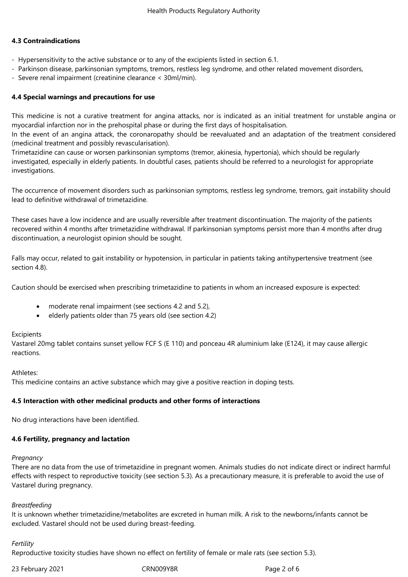## **4.3 Contraindications**

- Hypersensitivity to the active substance or to any of the excipients listed in section 6.1.
- Parkinson disease, parkinsonian symptoms, tremors, restless leg syndrome, and other related movement disorders,
- Severe renal impairment (creatinine clearance < 30ml/min).

#### **4.4 Special warnings and precautions for use**

This medicine is not a curative treatment for angina attacks, nor is indicated as an initial treatment for unstable angina or myocardial infarction nor in the prehospital phase or during the first days of hospitalisation.

In the event of an angina attack, the coronaropathy should be reevaluated and an adaptation of the treatment considered (medicinal treatment and possibly revascularisation).

Trimetazidine can cause or worsen parkinsonian symptoms (tremor, akinesia, hypertonia), which should be regularly investigated, especially in elderly patients. In doubtful cases, patients should be referred to a neurologist for appropriate investigations.

The occurrence of movement disorders such as parkinsonian symptoms, restless leg syndrome, tremors, gait instability should lead to definitive withdrawal of trimetazidine.

These cases have a low incidence and are usually reversible after treatment discontinuation. The majority of the patients recovered within 4 months after trimetazidine withdrawal. If parkinsonian symptoms persist more than 4 months after drug discontinuation, a neurologist opinion should be sought.

Falls may occur, related to gait instability or hypotension, in particular in patients taking antihypertensive treatment (see section 4.8).

Caution should be exercised when prescribing trimetazidine to patients in whom an increased exposure is expected:

- moderate renal impairment (see sections 4.2 and 5.2),
- elderly patients older than 75 years old (see section 4.2)

#### Excipients

Vastarel 20mg tablet contains sunset yellow FCF S (E 110) and ponceau 4R aluminium lake (E124), it may cause allergic reactions.

#### Athletes:

This medicine contains an active substance which may give a positive reaction in doping tests.

#### **4.5 Interaction with other medicinal products and other forms of interactions**

No drug interactions have been identified.

#### **4.6 Fertility, pregnancy and lactation**

#### *Pregnancy*

There are no data from the use of trimetazidine in pregnant women. Animals studies do not indicate direct or indirect harmful effects with respect to reproductive toxicity (see section 5.3). As a precautionary measure, it is preferable to avoid the use of Vastarel during pregnancy.

#### *Breastfeeding*

It is unknown whether trimetazidine/metabolites are excreted in human milk. A risk to the newborns/infants cannot be excluded. Vastarel should not be used during breast-feeding.

#### *Fertility*

Reproductive toxicity studies have shown no effect on fertility of female or male rats (see section 5.3).

23 February 2021 CRN009Y8R Page 2 of 6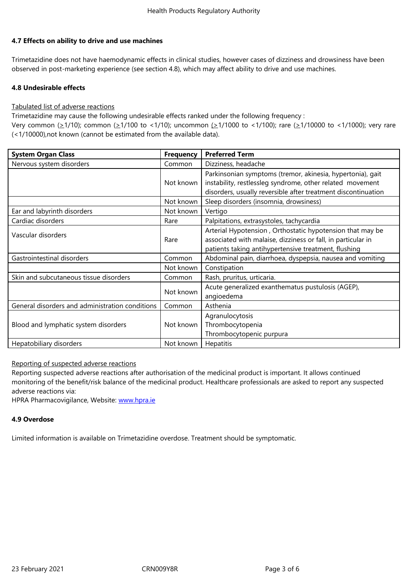#### **4.7 Effects on ability to drive and use machines**

Trimetazidine does not have haemodynamic effects in clinical studies, however cases of dizziness and drowsiness have been observed in post-marketing experience (see section 4.8), which may affect ability to drive and use machines.

# **4.8 Undesirable effects**

## Tabulated list of adverse reactions

Trimetazidine may cause the following undesirable effects ranked under the following frequency :

Very common ( $\geq$ 1/10); common ( $\geq$ 1/100 to <1/10); uncommon ( $\geq$ 1/1000 to <1/100); rare ( $\geq$ 1/10000 to <1/1000); very rare (<1/10000),not known (cannot be estimated from the available data).

| <b>System Organ Class</b>                       | <b>Frequency</b> | <b>Preferred Term</b>                                                                                                                                                                    |
|-------------------------------------------------|------------------|------------------------------------------------------------------------------------------------------------------------------------------------------------------------------------------|
| Nervous system disorders                        | Common           | Dizziness, headache                                                                                                                                                                      |
|                                                 | Not known        | Parkinsonian symptoms (tremor, akinesia, hypertonia), gait<br>instability, restlessleg syndrome, other related movement<br>disorders, usually reversible after treatment discontinuation |
|                                                 | Not known        | Sleep disorders (insomnia, drowsiness)                                                                                                                                                   |
| Ear and labyrinth disorders                     | Not known        | Vertigo                                                                                                                                                                                  |
| Cardiac disorders                               | Rare             | Palpitations, extrasystoles, tachycardia                                                                                                                                                 |
| Vascular disorders                              | Rare             | Arterial Hypotension, Orthostatic hypotension that may be<br>associated with malaise, dizziness or fall, in particular in<br>patients taking antihypertensive treatment, flushing        |
| Gastrointestinal disorders                      | Common           | Abdominal pain, diarrhoea, dyspepsia, nausea and vomiting                                                                                                                                |
|                                                 | Not known        | Constipation                                                                                                                                                                             |
| Skin and subcutaneous tissue disorders          | Common           | Rash, pruritus, urticaria.                                                                                                                                                               |
|                                                 | Not known        | Acute generalized exanthematus pustulosis (AGEP),<br>angioedema                                                                                                                          |
| General disorders and administration conditions | Common           | Asthenia                                                                                                                                                                                 |
| Blood and lymphatic system disorders            | Not known        | Agranulocytosis<br>Thrombocytopenia<br>Thrombocytopenic purpura                                                                                                                          |
| Hepatobiliary disorders                         | Not known        | <b>Hepatitis</b>                                                                                                                                                                         |

Reporting of suspected adverse reactions

Reporting suspected adverse reactions after authorisation of the medicinal product is important. It allows continued monitoring of the benefit/risk balance of the medicinal product. Healthcare professionals are asked to report any suspected adverse reactions via:

HPRA Pharmacovigilance, Website: www.hpra.ie

# **4.9 Overdose**

Limited information is available on [Trimetazidine](http://www.hpra.ie/) overdose. Treatment should be symptomatic.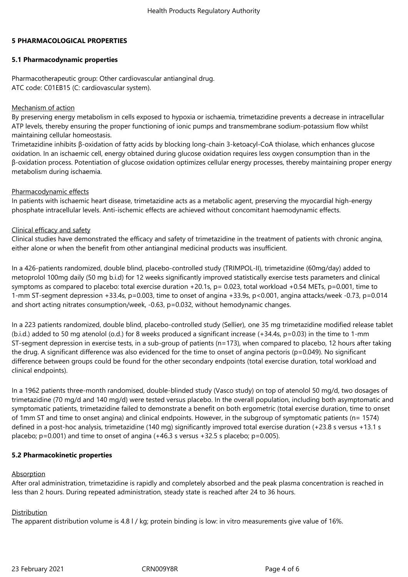## **5 PHARMACOLOGICAL PROPERTIES**

## **5.1 Pharmacodynamic properties**

Pharmacotherapeutic group: Other cardiovascular antianginal drug. ATC code: C01EB15 (C: cardiovascular system).

## Mechanism of action

By preserving energy metabolism in cells exposed to hypoxia or ischaemia, trimetazidine prevents a decrease in intracellular ATP levels, thereby ensuring the proper functioning of ionic pumps and transmembrane sodium-potassium flow whilst maintaining cellular homeostasis.

Trimetazidine inhibits β-oxidation of fatty acids by blocking long-chain 3-ketoacyl-CoA thiolase, which enhances glucose oxidation. In an ischaemic cell, energy obtained during glucose oxidation requires less oxygen consumption than in the β-oxidation process. Potentiation of glucose oxidation optimizes cellular energy processes, thereby maintaining proper energy metabolism during ischaemia.

## Pharmacodynamic effects

In patients with ischaemic heart disease, trimetazidine acts as a metabolic agent, preserving the myocardial high-energy phosphate intracellular levels. Anti-ischemic effects are achieved without concomitant haemodynamic effects.

## Clinical efficacy and safety

Clinical studies have demonstrated the efficacy and safety of trimetazidine in the treatment of patients with chronic angina, either alone or when the benefit from other antianginal medicinal products was insufficient.

In a 426-patients randomized, double blind, placebo-controlled study (TRIMPOL-II), trimetazidine (60mg/day) added to metoprolol 100mg daily (50 mg b.i.d) for 12 weeks significantly improved statistically exercise tests parameters and clinical symptoms as compared to placebo: total exercise duration +20.1s, p= 0.023, total workload +0.54 METs, p=0.001, time to 1-mm ST-segment depression +33.4s, p=0.003, time to onset of angina +33.9s, p<0.001, angina attacks/week -0.73, p=0.014 and short acting nitrates consumption/week, -0.63, p=0.032, without hemodynamic changes.

In a 223 patients randomized, double blind, placebo-controlled study (Sellier), one 35 mg trimetazidine modified release tablet (b.i.d.) added to 50 mg atenolol (o.d.) for 8 weeks produced a significant increase  $(+34.4s, p=0.03)$  in the time to 1-mm ST-segment depression in exercise tests, in a sub-group of patients (n=173), when compared to placebo, 12 hours after taking the drug. A significant difference was also evidenced for the time to onset of angina pectoris (p=0.049). No significant difference between groups could be found for the other secondary endpoints (total exercise duration, total workload and clinical endpoints).

In a 1962 patients three-month randomised, double-blinded study (Vasco study) on top of atenolol 50 mg/d, two dosages of trimetazidine (70 mg/d and 140 mg/d) were tested versus placebo. In the overall population, including both asymptomatic and symptomatic patients, trimetazidine failed to demonstrate a benefit on both ergometric (total exercise duration, time to onset of 1mm ST and time to onset angina) and clinical endpoints. However, in the subgroup of symptomatic patients (n= 1574) defined in a post-hoc analysis, trimetazidine (140 mg) significantly improved total exercise duration (+23.8 s versus +13.1 s placebo;  $p=0.001$ ) and time to onset of angina  $(+46.3 \text{ s}$  versus  $+32.5 \text{ s}$  placebo;  $p=0.005$ ).

# **5.2 Pharmacokinetic properties**

# Absorption

After oral administration, trimetazidine is rapidly and completely absorbed and the peak plasma concentration is reached in less than 2 hours. During repeated administration, steady state is reached after 24 to 36 hours.

# Distribution

The apparent distribution volume is 4.8 l / kg; protein binding is low: in vitro measurements give value of 16%.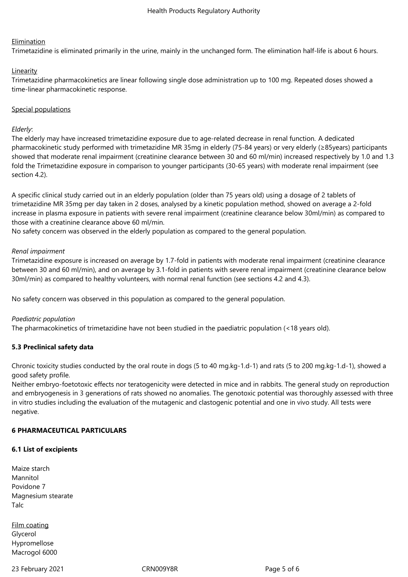#### **Elimination**

Trimetazidine is eliminated primarily in the urine, mainly in the unchanged form. The elimination half-life is about 6 hours.

#### **Linearity**

Trimetazidine pharmacokinetics are linear following single dose administration up to 100 mg. Repeated doses showed a time-linear pharmacokinetic response.

#### Special populations

## *Elderly*:

The elderly may have increased trimetazidine exposure due to age-related decrease in renal function. A dedicated pharmacokinetic study performed with trimetazidine MR 35mg in elderly (75-84 years) or very elderly (≥85years) participants showed that moderate renal impairment (creatinine clearance between 30 and 60 ml/min) increased respectively by 1.0 and 1.3 fold the Trimetazidine exposure in comparison to younger participants (30-65 years) with moderate renal impairment (see section 4.2).

A specific clinical study carried out in an elderly population (older than 75 years old) using a dosage of 2 tablets of trimetazidine MR 35mg per day taken in 2 doses, analysed by a kinetic population method, showed on average a 2-fold increase in plasma exposure in patients with severe renal impairment (creatinine clearance below 30ml/min) as compared to those with a creatinine clearance above 60 ml/min.

No safety concern was observed in the elderly population as compared to the general population.

#### *Renal impairment*

Trimetazidine exposure is increased on average by 1.7-fold in patients with moderate renal impairment (creatinine clearance between 30 and 60 ml/min), and on average by 3.1-fold in patients with severe renal impairment (creatinine clearance below 30ml/min) as compared to healthy volunteers, with normal renal function (see sections 4.2 and 4.3).

No safety concern was observed in this population as compared to the general population.

#### *Paediatric population*

The pharmacokinetics of trimetazidine have not been studied in the paediatric population (<18 years old).

# **5.3 Preclinical safety data**

Chronic toxicity studies conducted by the oral route in dogs (5 to 40 mg.kg-1.d-1) and rats (5 to 200 mg.kg-1.d-1), showed a good safety profile.

Neither embryo-foetotoxic effects nor teratogenicity were detected in mice and in rabbits. The general study on reproduction and embryogenesis in 3 generations of rats showed no anomalies. The genotoxic potential was thoroughly assessed with three in vitro studies including the evaluation of the mutagenic and clastogenic potential and one in vivo study. All tests were negative.

# **6 PHARMACEUTICAL PARTICULARS**

#### **6.1 List of excipients**

| Maize starch       |
|--------------------|
| Mannitol           |
| Povidone 7         |
| Magnesium stearate |
| Talc               |

Film coating Glycerol Hypromellose Macrogol 6000